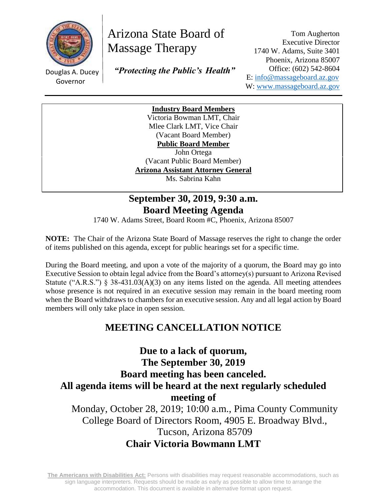

# Arizona State Board of Massage Therapy

Douglas A. Ducey Governor

 *"Protecting the Public's Health"*

Tom Augherton Executive Director 1740 W. Adams, Suite 3401 Phoenix, Arizona 85007 Office: (602) 542-8604 E: [info@massageboard.az.gov](mailto:info@massageboard.az.gov) W: [www.massageboard.az.gov](http://www.massageboard.az.gov/)

**Industry Board Members** Victoria Bowman LMT, Chair Mlee Clark LMT, Vice Chair (Vacant Board Member) **Public Board Member**  John Ortega (Vacant Public Board Member) **Arizona Assistant Attorney General** Ms. Sabrina Kahn

# **September 30, 2019, 9:30 a.m. Board Meeting Agenda**

1740 W. Adams Street, Board Room #C, Phoenix, Arizona 85007

**NOTE:** The Chair of the Arizona State Board of Massage reserves the right to change the order of items published on this agenda, except for public hearings set for a specific time.

During the Board meeting, and upon a vote of the majority of a quorum, the Board may go into Executive Session to obtain legal advice from the Board's attorney(s) pursuant to Arizona Revised Statute ("A.R.S.") § 38-431.03(A)(3) on any items listed on the agenda. All meeting attendees whose presence is not required in an executive session may remain in the board meeting room when the Board withdraws to chambers for an executive session. Any and all legal action by Board members will only take place in open session.

# **MEETING CANCELLATION NOTICE**

**Due to a lack of quorum, The September 30, 2019 Board meeting has been canceled. All agenda items will be heard at the next regularly scheduled meeting of** Monday, October 28, 2019; 10:00 a.m., Pima County Community

College Board of Directors Room, 4905 E. Broadway Blvd., Tucson, Arizona 85709 **Chair Victoria Bowmann LMT**

**The Americans with Disabilities Act:** Persons with disabilities may request reasonable accommodations, such as sign language interpreters. Requests should be made as early as possible to allow time to arrange the accommodation. This document is available in alternative format upon request.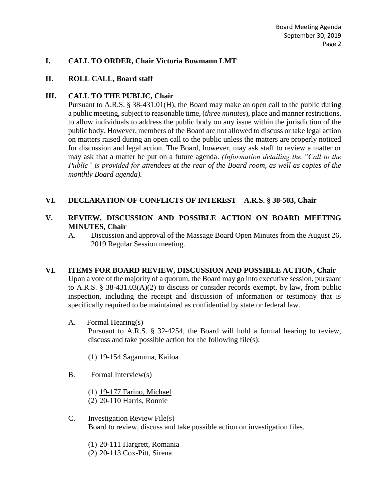#### **I. CALL TO ORDER, Chair Victoria Bowmann LMT**

#### **II. ROLL CALL, Board staff**

#### **III. CALL TO THE PUBLIC, Chair**

Pursuant to A.R.S. § 38-431.01(H), the Board may make an open call to the public during a public meeting, subject to reasonable time, (*three minutes*), place and manner restrictions, to allow individuals to address the public body on any issue within the jurisdiction of the public body. However, members of the Board are not allowed to discuss or take legal action on matters raised during an open call to the public unless the matters are properly noticed for discussion and legal action. The Board, however, may ask staff to review a matter or may ask that a matter be put on a future agenda. *(Information detailing the "Call to the Public" is provided for attendees at the rear of the Board room, as well as copies of the monthly Board agenda).* 

#### **VI. DECLARATION OF CONFLICTS OF INTEREST – A.R.S. § 38-503, Chair**

#### **V. REVIEW, DISCUSSION AND POSSIBLE ACTION ON BOARD MEETING MINUTES, Chair**

A. Discussion and approval of the Massage Board Open Minutes from the August 26, 2019 Regular Session meeting.

#### **VI. ITEMS FOR BOARD REVIEW, DISCUSSION AND POSSIBLE ACTION, Chair** Upon a vote of the majority of a quorum, the Board may go into executive session, pursuant

to A.R.S. § 38-431.03(A)(2) to discuss or consider records exempt, by law, from public inspection, including the receipt and discussion of information or testimony that is specifically required to be maintained as confidential by state or federal law.

A. Formal Hearing(s)

Pursuant to A.R.S. § 32-4254, the Board will hold a formal hearing to review, discuss and take possible action for the following file(s):

- (1) 19-154 Saganuma, Kailoa
- B. Formal Interview(s)
	- (1) 19-177 Farino, Michael (2) 20-110 Harris, Ronnie
- C. Investigation Review File(s) Board to review, discuss and take possible action on investigation files.

(1) 20-111 Hargrett, Romania (2) 20-113 Cox-Pitt, Sirena